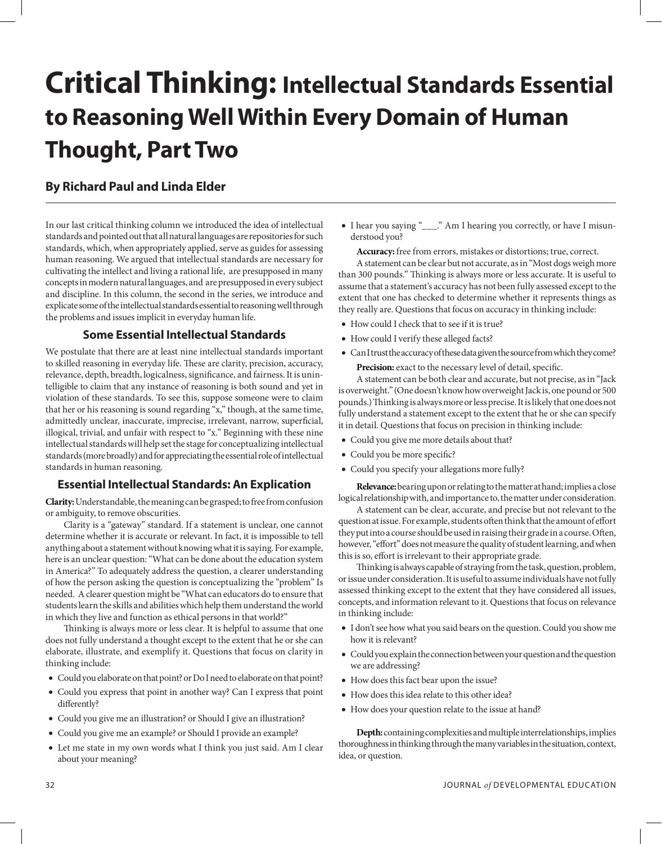## **Critical Thinking: Intellectual Standards Essential to Reasoning Well Within Every Domain of Human Thought, Part Two**

## **By Richard Paul and Linda Elder**

In our last critical thinking column we introduced the idea of intellectual standards and pointed out that all natural languages are repositories for such standards, which, when appropriately applied, serve as guides for assessing human reasoning. We argued that intellectual standards are necessary for cultivating the intellect and living a rational life, are presupposed in many concepts in modern natural languages, and are presupposed in every subject and discipline. In this column, the second in the series, we introduce and explicate some of the intellectual standards essential to reasoning well through the problems and issues implicit in everyday human life.

## **Some Essential Intellectual Standards**

We postulate that there are at least nine intellectual standards important to skilled reasoning in everyday life. These are clarity, precision, accuracy, relevance, depth, breadth, logicalness, significance, and fairness. It is unintelligible to claim that any instance of reasoning is both sound and yet in violation of these standards. To see this, suppose someone were to claim that her or his reasoning is sound regarding "x," though, at the same time, admittedly unclear, inaccurate, imprecise, irrelevant, narrow, superficial, illogical, trivial, and unfair with respect to "x." Beginning with these nine intellectual standards will help set the stage for conceptualizing intellectual standards (more broadly) and for appreciating the essential role of intellectual standards in human reasoning.

## **Essential Intellectual Standards: An Explication**

**Clarity:** Understandable, the meaning can be grasped; to free from confusion or ambiguity, to remove obscurities.

Clarity is a "gateway" standard. If a statement is unclear, one cannot determine whether it is accurate or relevant. In fact, it is impossible to tell anything about a statement without knowing what it is saying. For example, here is an unclear question: "What can be done about the education system in America?" To adequately address the question, a clearer understanding of how the person asking the question is conceptualizing the "problem" Is needed. A clearer question might be "What can educators do to ensure that students learn the skills and abilities which help them understand the world in which they live and function as ethical persons in that world?"

Thinking is always more or less clear. It is helpful to assume that one does not fully understand a thought except to the extent that he or she can elaborate, illustrate, and exemplify it. Questions that focus on clarity in thinking include:

- Could you elaborate on that point? or Do I need to elaborate on that point?
- • Could you express that point in another way? Can I express that point differently?
- Could you give me an illustration? or Should I give an illustration?
- Could you give me an example? or Should I provide an example?
- Let me state in my own words what I think you just said. Am I clear about your meaning?

• I hear you saying "\_\_\_." Am I hearing you correctly, or have I misunderstood you?

**Accuracy:** free from errors, mistakes or distortions; true, correct.

A statement can be clear but not accurate, as in "Most dogs weigh more than 300 pounds." Thinking is always more or less accurate. It is useful to assume that a statement's accuracy has not been fully assessed except to the extent that one has checked to determine whether it represents things as they really are. Questions that focus on accuracy in thinking include:

- How could I check that to see if it is true?
- How could I verify these alleged facts?
- Can I trust the accuracy of these data given the source from which they come? **Precision:** exact to the necessary level of detail, specific.

A statement can be both clear and accurate, but not precise, as in "Jack is overweight." (One doesn't know how overweight Jack is, one pound or 500 pounds.) Thinking is always more or less precise. It is likely that one does not fully understand a statement except to the extent that he or she can specify it in detail. Questions that focus on precision in thinking include:

- • Could you give me more details about that?
- Could you be more specific?
- Could you specify your allegations more fully?

**Relevance:** bearing upon or relating to the matter at hand; implies a close logical relationship with, and importance to, the matter under consideration.

A statement can be clear, accurate, and precise but not relevant to the question at issue. For example, students often think that the amount of effort they put into a course should be used in raising their grade in a course. Often, however, "effort" does not measure the quality of student learning, and when this is so, effort is irrelevant to their appropriate grade.

Thinking is always capable of straying from the task, question, problem, or issue under consideration. It is useful to assume individuals have not fully assessed thinking except to the extent that they have considered all issues, concepts, and information relevant to it. Questions that focus on relevance in thinking include:

- I don't see how what you said bears on the question. Could you show me how it is relevant?
- • Could you explain the connection between your question and the question we are addressing?
- How does this fact bear upon the issue?
- How does this idea relate to this other idea?
- How does your question relate to the issue at hand?

**Depth:** containing complexities and multiple interrelationships, implies thoroughness in thinking through the many variables in the situation, context, idea, or question.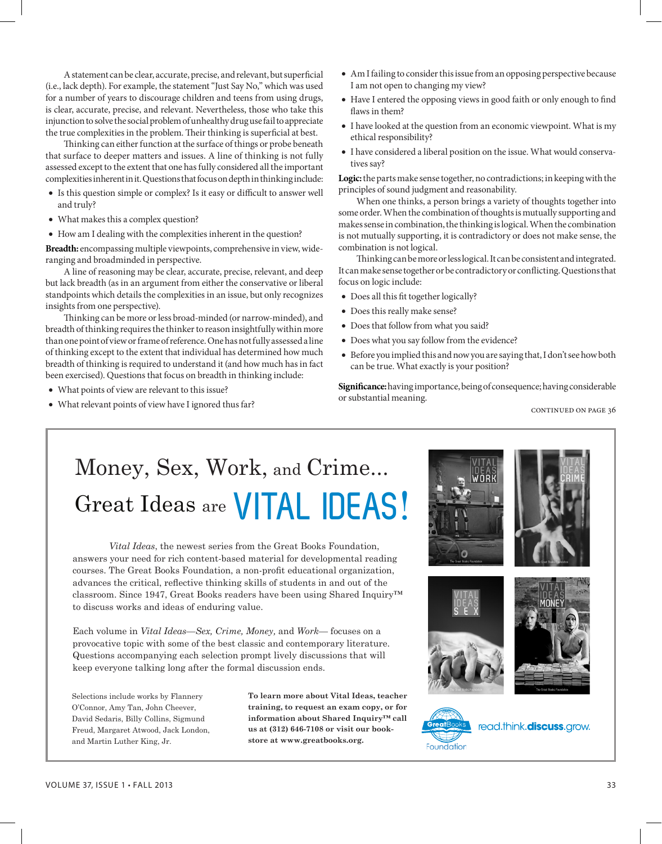A statement can be clear, accurate, precise, and relevant, but superficial (i.e., lack depth). For example, the statement "Just Say No," which was used for a number of years to discourage children and teens from using drugs, is clear, accurate, precise, and relevant. Nevertheless, those who take this injunction to solve the social problem of unhealthy drug use fail to appreciate the true complexities in the problem. Their thinking is superficial at best.

Thinking can either function at the surface of things or probe beneath that surface to deeper matters and issues. A line of thinking is not fully assessed except to the extent that one has fully considered all the important complexities inherent in it. Questions that focus on depth in thinking include:

- Is this question simple or complex? Is it easy or difficult to answer well and truly?
- What makes this a complex question?
- How am I dealing with the complexities inherent in the question?

**Breadth:** encompassing multiple viewpoints, comprehensive in view, wideranging and broadminded in perspective.

A line of reasoning may be clear, accurate, precise, relevant, and deep but lack breadth (as in an argument from either the conservative or liberal standpoints which details the complexities in an issue, but only recognizes insights from one perspective).

Thinking can be more or less broad-minded (or narrow-minded), and breadth of thinking requires the thinker to reason insightfully within more than one point of view or frame of reference. One has not fully assessed a line of thinking except to the extent that individual has determined how much breadth of thinking is required to understand it (and how much has in fact been exercised). Questions that focus on breadth in thinking include:

- What points of view are relevant to this issue?
- What relevant points of view have I ignored thus far?
- • Am I failing to consider this issue from an opposing perspective because I am not open to changing my view?
- Have I entered the opposing views in good faith or only enough to find flaws in them?
- I have looked at the question from an economic viewpoint. What is my ethical responsibility?
- I have considered a liberal position on the issue. What would conservatives say?

**Logic:** the parts make sense together, no contradictions; in keeping with the principles of sound judgment and reasonability.

When one thinks, a person brings a variety of thoughts together into some order. When the combination of thoughts is mutually supporting and makes sense in combination, the thinking is logical. When the combination is not mutually supporting, it is contradictory or does not make sense, the combination is not logical.

Thinking can be more or less logical. It can be consistent and integrated. It can make sense together or be contradictory or conflicting. Questions that focus on logic include:

- Does all this fit together logically?
- Does this really make sense?
- Does that follow from what you said?
- Does what you say follow from the evidence?
- • Before you implied this and now you are saying that, I don't see how both can be true. What exactly is your position?

**Significance:** having importance, being of consequence; having considerable or substantial meaning.

continued on page 36

# Money, Sex, Work, and Crime... Great Ideas are **VITAL IDEAS**!

*Vital Ideas*, the newest series from the Great Books Foundation, answers your need for rich content-based material for developmental reading courses. The Great Books Foundation, a non-profit educational organization, advances the critical, reflective thinking skills of students in and out of the classroom. Since 1947, Great Books readers have been using Shared Inquiry™ to discuss works and ideas of enduring value.

Each volume in *Vital Ideas*—*Sex, Crime, Money,* and *Work*— focuses on a provocative topic with some of the best classic and contemporary literature. Questions accompanying each selection prompt lively discussions that will keep everyone talking long after the formal discussion ends.

Selections include works by Flannery O'Connor, Amy Tan, John Cheever, David Sedaris, Billy Collins, Sigmund Freud, Margaret Atwood, Jack London, and Martin Luther King, Jr.

**To learn more about Vital Ideas, teacher training, to request an exam copy, or for information about Shared Inquiry™ call us at (312) 646-7108 or visit our bookstore at www.greatbooks.org.**